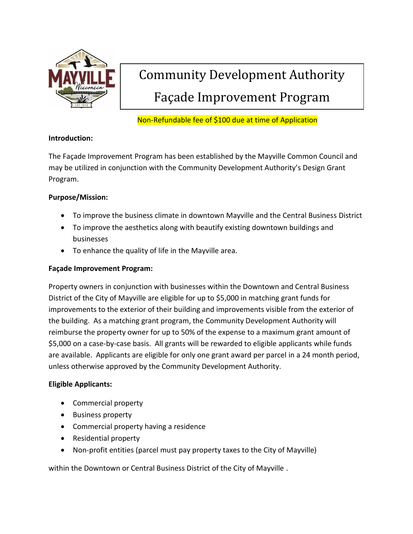

## Community Development Authority Façade Improvement Program

#### Non-Refundable fee of \$100 due at time of Application

#### **Introduction:**

The Façade Improvement Program has been established by the Mayville Common Council and may be utilized in conjunction with the Community Development Authority's Design Grant Program.

#### **Purpose/Mission:**

- To improve the business climate in downtown Mayville and the Central Business District
- To improve the aesthetics along with beautify existing downtown buildings and businesses
- To enhance the quality of life in the Mayville area.

#### **Façade Improvement Program:**

Property owners in conjunction with businesses within the Downtown and Central Business District of the City of Mayville are eligible for up to \$5,000 in matching grant funds for improvements to the exterior of their building and improvements visible from the exterior of the building. As a matching grant program, the Community Development Authority will reimburse the property owner for up to 50% of the expense to a maximum grant amount of \$5,000 on a case-by-case basis. All grants will be rewarded to eligible applicants while funds are available. Applicants are eligible for only one grant award per parcel in a 24 month period, unless otherwise approved by the Community Development Authority.

#### **Eligible Applicants:**

- Commercial property
- Business property
- Commercial property having a residence
- Residential property
- Non-profit entities (parcel must pay property taxes to the City of Mayville)

within the Downtown or Central Business District of the City of Mayville .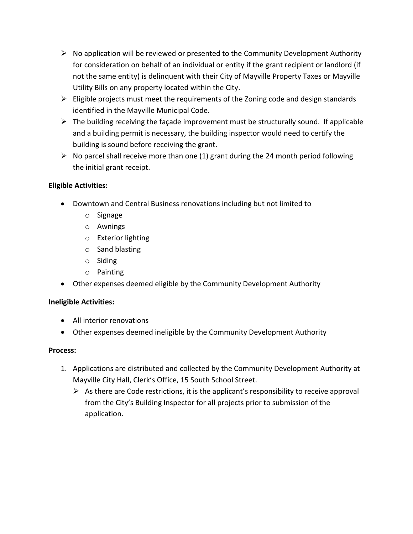- $\triangleright$  No application will be reviewed or presented to the Community Development Authority for consideration on behalf of an individual or entity if the grant recipient or landlord (if not the same entity) is delinquent with their City of Mayville Property Taxes or Mayville Utility Bills on any property located within the City.
- $\triangleright$  Eligible projects must meet the requirements of the Zoning code and design standards identified in the Mayville Municipal Code.
- $\triangleright$  The building receiving the façade improvement must be structurally sound. If applicable and a building permit is necessary, the building inspector would need to certify the building is sound before receiving the grant.
- $\triangleright$  No parcel shall receive more than one (1) grant during the 24 month period following the initial grant receipt.

#### **Eligible Activities:**

- Downtown and Central Business renovations including but not limited to
	- o Signage
	- o Awnings
	- o Exterior lighting
	- o Sand blasting
	- o Siding
	- o Painting
- Other expenses deemed eligible by the Community Development Authority

#### **Ineligible Activities:**

- All interior renovations
- Other expenses deemed ineligible by the Community Development Authority

#### **Process:**

- 1. Applications are distributed and collected by the Community Development Authority at Mayville City Hall, Clerk's Office, 15 South School Street.
	- $\triangleright$  As there are Code restrictions, it is the applicant's responsibility to receive approval from the City's Building Inspector for all projects prior to submission of the application.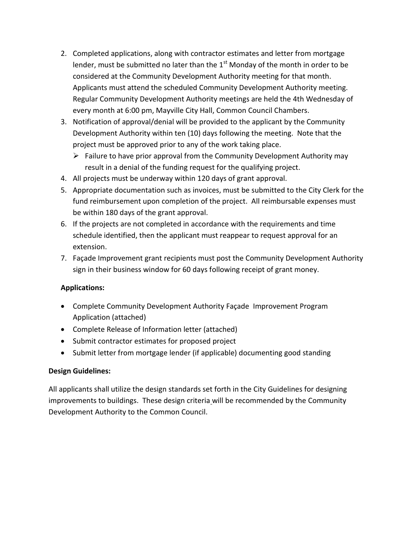- 2. Completed applications, along with contractor estimates and letter from mortgage lender, must be submitted no later than the  $1<sup>st</sup>$  Monday of the month in order to be considered at the Community Development Authority meeting for that month. Applicants must attend the scheduled Community Development Authority meeting. Regular Community Development Authority meetings are held the 4th Wednesday of every month at 6:00 pm, Mayville City Hall, Common Council Chambers.
- 3. Notification of approval/denial will be provided to the applicant by the Community Development Authority within ten (10) days following the meeting. Note that the project must be approved prior to any of the work taking place.
	- $\triangleright$  Failure to have prior approval from the Community Development Authority may result in a denial of the funding request for the qualifying project.
- 4. All projects must be underway within 120 days of grant approval.
- 5. Appropriate documentation such as invoices, must be submitted to the City Clerk for the fund reimbursement upon completion of the project. All reimbursable expenses must be within 180 days of the grant approval.
- 6. If the projects are not completed in accordance with the requirements and time schedule identified, then the applicant must reappear to request approval for an extension.
- 7. Façade Improvement grant recipients must post the Community Development Authority sign in their business window for 60 days following receipt of grant money.

#### **Applications:**

- Complete Community Development Authority Façade Improvement Program Application (attached)
- Complete Release of Information letter (attached)
- Submit contractor estimates for proposed project
- Submit letter from mortgage lender (if applicable) documenting good standing

#### **Design Guidelines:**

All applicants shall utilize the design standards set forth in the City Guidelines for designing improvements to buildings. These design criteria will be recommended by the Community Development Authority to the Common Council.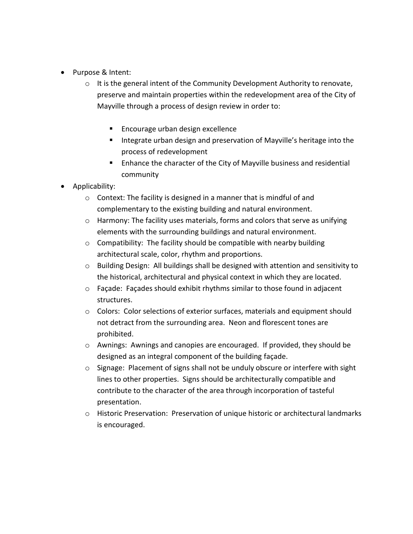- Purpose & Intent:
	- $\circ$  It is the general intent of the Community Development Authority to renovate, preserve and maintain properties within the redevelopment area of the City of Mayville through a process of design review in order to:
		- **Encourage urban design excellence**
		- **Integrate urban design and preservation of Mayville's heritage into the** process of redevelopment
		- **E** Enhance the character of the City of Mayville business and residential community
- Applicability:
	- o Context: The facility is designed in a manner that is mindful of and complementary to the existing building and natural environment.
	- $\circ$  Harmony: The facility uses materials, forms and colors that serve as unifying elements with the surrounding buildings and natural environment.
	- $\circ$  Compatibility: The facility should be compatible with nearby building architectural scale, color, rhythm and proportions.
	- o Building Design: All buildings shall be designed with attention and sensitivity to the historical, architectural and physical context in which they are located.
	- o Façade: Façades should exhibit rhythms similar to those found in adjacent structures.
	- o Colors: Color selections of exterior surfaces, materials and equipment should not detract from the surrounding area. Neon and florescent tones are prohibited.
	- $\circ$  Awnings: Awnings and canopies are encouraged. If provided, they should be designed as an integral component of the building façade.
	- $\circ$  Signage: Placement of signs shall not be unduly obscure or interfere with sight lines to other properties. Signs should be architecturally compatible and contribute to the character of the area through incorporation of tasteful presentation.
	- o Historic Preservation: Preservation of unique historic or architectural landmarks is encouraged.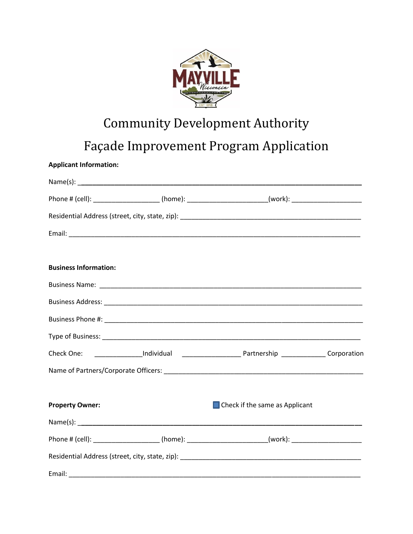

# **Community Development Authority**

### Façade Improvement Program Application

**Applicant Information:** 

|                              | Phone # (cell): ______________________(home): _________________________(work): _____________________ |  |
|------------------------------|------------------------------------------------------------------------------------------------------|--|
|                              |                                                                                                      |  |
|                              |                                                                                                      |  |
| <b>Business Information:</b> |                                                                                                      |  |
|                              |                                                                                                      |  |
|                              |                                                                                                      |  |
|                              |                                                                                                      |  |
|                              |                                                                                                      |  |
|                              |                                                                                                      |  |
|                              |                                                                                                      |  |
| <b>Property Owner:</b>       | $\Box$ Check if the same as Applicant                                                                |  |
|                              |                                                                                                      |  |
|                              | Phone # (cell): _____________________(home): ________________________(work): _______________________ |  |
|                              |                                                                                                      |  |
|                              |                                                                                                      |  |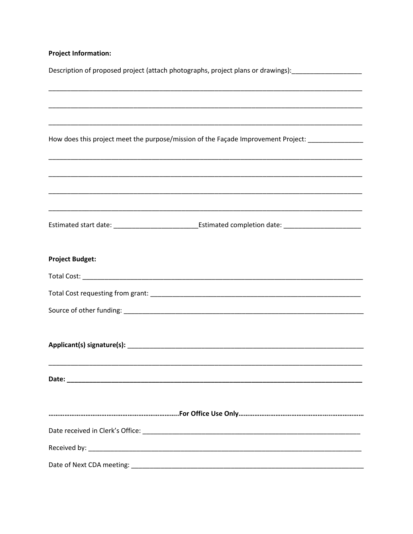#### **Project Information:**

| Description of proposed project (attach photographs, project plans or drawings):___________________        |  |  |  |  |  |  |
|------------------------------------------------------------------------------------------------------------|--|--|--|--|--|--|
|                                                                                                            |  |  |  |  |  |  |
|                                                                                                            |  |  |  |  |  |  |
|                                                                                                            |  |  |  |  |  |  |
| How does this project meet the purpose/mission of the Façade Improvement Project: _________________        |  |  |  |  |  |  |
|                                                                                                            |  |  |  |  |  |  |
|                                                                                                            |  |  |  |  |  |  |
|                                                                                                            |  |  |  |  |  |  |
|                                                                                                            |  |  |  |  |  |  |
| Estimated start date: _________________________________Estimated completion date: ________________________ |  |  |  |  |  |  |
|                                                                                                            |  |  |  |  |  |  |
| <b>Project Budget:</b>                                                                                     |  |  |  |  |  |  |
|                                                                                                            |  |  |  |  |  |  |
|                                                                                                            |  |  |  |  |  |  |
|                                                                                                            |  |  |  |  |  |  |
|                                                                                                            |  |  |  |  |  |  |
|                                                                                                            |  |  |  |  |  |  |
|                                                                                                            |  |  |  |  |  |  |
|                                                                                                            |  |  |  |  |  |  |
|                                                                                                            |  |  |  |  |  |  |
|                                                                                                            |  |  |  |  |  |  |
|                                                                                                            |  |  |  |  |  |  |
|                                                                                                            |  |  |  |  |  |  |
|                                                                                                            |  |  |  |  |  |  |
|                                                                                                            |  |  |  |  |  |  |